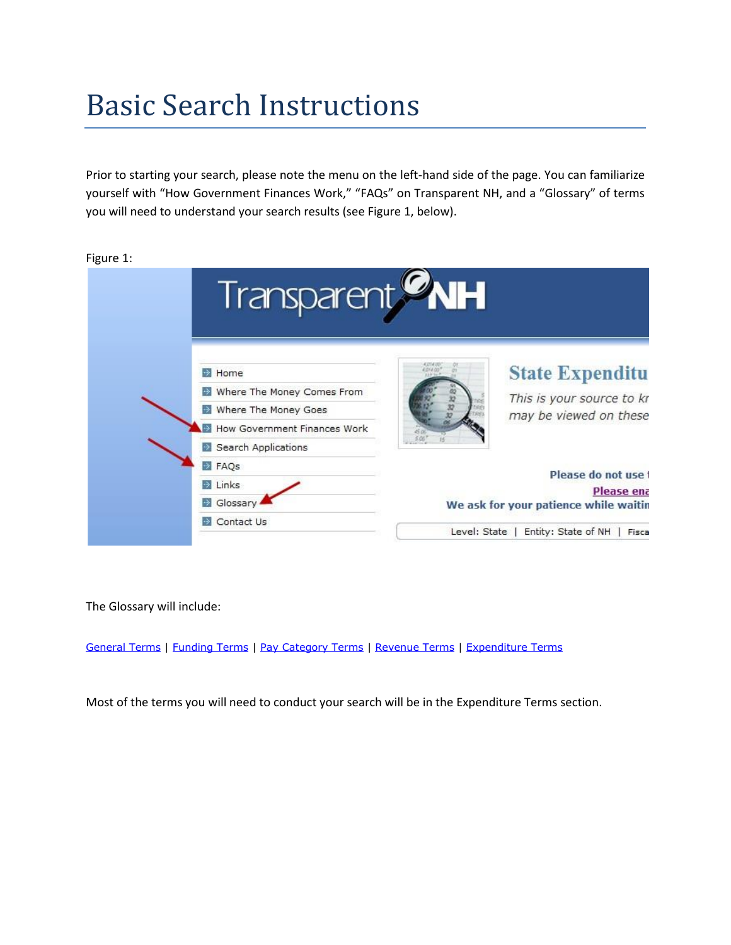# Basic Search Instructions

Prior to starting your search, please note the menu on the left-hand side of the page. You can familiarize yourself with "How Government Finances Work," "FAQs" on Transparent NH, and a "Glossary" of terms you will need to understand your search results (see Figure 1, below).

Figure 1:

| Transparent <b>WH</b>                                                                                                        |
|------------------------------------------------------------------------------------------------------------------------------|
| <b>State Expenditu</b><br>This is your source to kr<br>may be viewed on these                                                |
| Please do not use t<br>Please ena<br>We ask for your patience while waitin<br>Entity: State of NH<br>Level: State  <br>Fisca |
|                                                                                                                              |

The Glossary will include:

General Terms | Funding Terms | Pay Category Terms | Revenue Terms | Expenditure Terms

Most of the terms you will need to conduct your search will be in the Expenditure Terms section.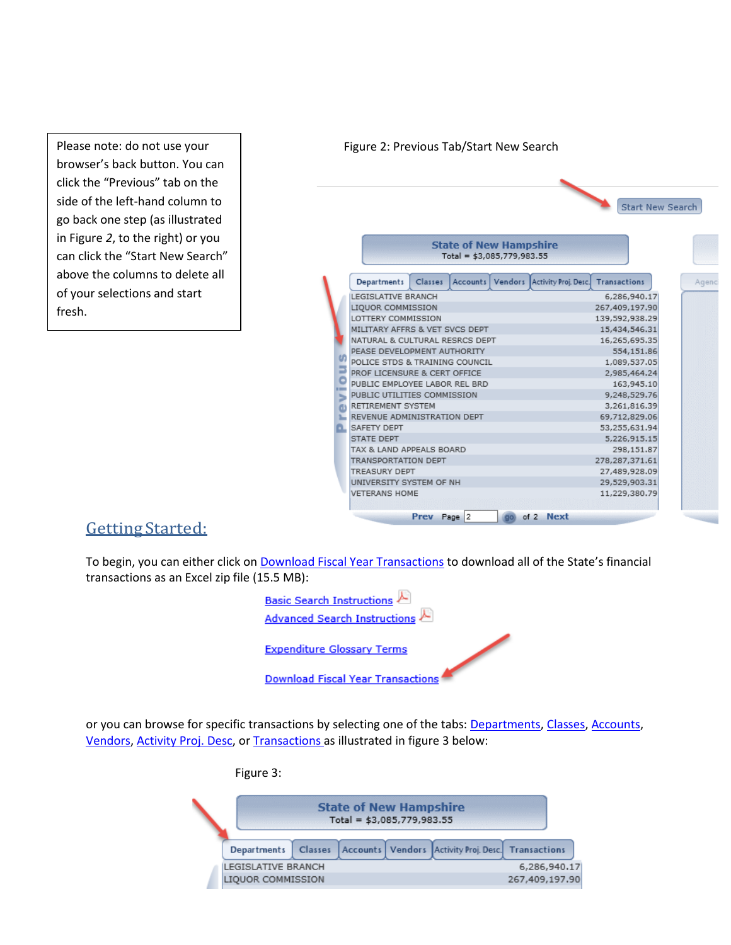Please note: do not use your browser's back button. You can click the "Previous" tab on the side of the left-hand column to go back one step (as illustrated in Figure *2*, to the right) or you can click the "Start New Search" above the columns to delete all of your selections and start fresh.

#### Figure 2: Previous Tab/Start New Search Start New Search **State of New Hampshire** Total =  $$3,085,779,983.55$ Classes Accounts Vendors Activity Proj. Desc. Transactions **Departments** Agenc LEGISLATIVE BRANCH  $6,286,940.17$ LIQUOR COMMISSION 267,409,197.90 LOTTERY COMMISSION 139,592,938.29 MILITARY AFFRS & VET SVCS DEPT 15,434,546.31 NATURAL & CULTURAL RESRCS DEPT 16,265,695.35 PEASE DEVELOPMENT AUTHORITY 554,151.86 th. POLICE STDS & TRAINING COUNCIL 1,089,537.05 PROF LICENSURE & CERT OFFICE 2,985,464,24 ō PUBLIC EMPLOYEE LABOR REL BRD 163,945.10 PUBLIC UTILITIES COMMISSION 9,248,529.76 RETIREMENT SYSTEM 3,261,816.39 REVENUE ADMINISTRATION DEPT 69,712,829.06 SAFETY DEPT 53,255,631.94 STATE DEPT 5,226,915.15 TAX & LAND APPEALS BOARD 298,151.87 TRANSPORTATION DEPT 278,287,371.61 **TREASURY DEPT** 27,489,928.09 UNIVERSITY SYSTEM OF NH 29,529,903.31 **VETERANS HOME** 11,229,380.79 Prev Page 2 of 2 Next

## GettingStarted:

To begin, you can either click on Download Fiscal Year Transactions to download all of the State's financial transactions as an Excel zip file (15.5 MB):



or you can browse for specific transactions by selecting one of the tabs: Departments, Classes, Accounts, Vendors, Activity Proj. Desc, or Transactions as illustrated in figure 3 below:



| <b>State of New Hampshire</b><br>Total = \$3,085,779,983.55 |         |  |  |                                                          |              |  |  |  |  |
|-------------------------------------------------------------|---------|--|--|----------------------------------------------------------|--------------|--|--|--|--|
| <b>Departments</b>                                          | Classes |  |  | Accounts   Vendors   Activity Proj. Desc.   Transactions |              |  |  |  |  |
| LEGISLATIVE BRANCH                                          |         |  |  |                                                          | 6,286,940.17 |  |  |  |  |
| LIQUOR COMMISSION<br>267,409,197.90                         |         |  |  |                                                          |              |  |  |  |  |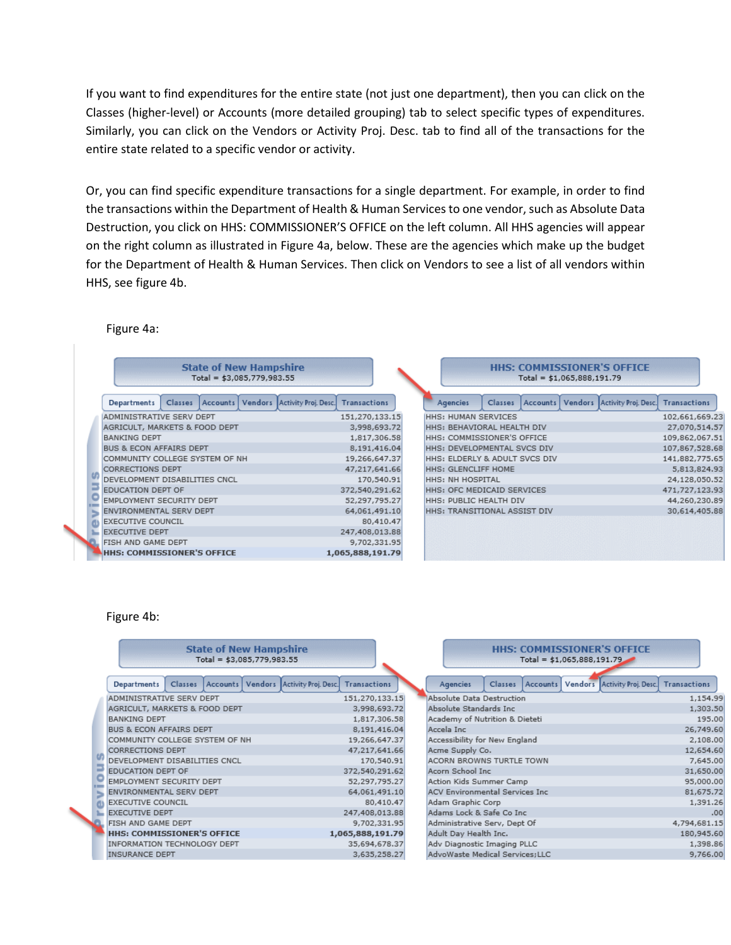If you want to find expenditures for the entire state (not just one department), then you can click on the Classes (higher-level) or Accounts (more detailed grouping) tab to select specific types of expenditures. Similarly, you can click on the Vendors or Activity Proj. Desc. tab to find all of the transactions for the entire state related to a specific vendor or activity.

Or, you can find specific expenditure transactions for a single department. For example, in order to find the transactions within the Department of Health & Human Services to one vendor, such as Absolute Data Destruction, you click on HHS: COMMISSIONER'S OFFICE on the left column. All HHS agencies will appear on the right column as illustrated in Figure 4a, below. These are the agencies which make up the budget for the Department of Health & Human Services. Then click on Vendors to see a list of all vendors within HHS, see figure 4b.

#### Figure 4a:

| <b>State of New Hampshire</b><br>Total = $$3,085,779,983.55$                       |                  | <b>HHS: COMMISSIONER'S OFFICE</b><br>Total = $$1,065,888,191.79$                              |                |
|------------------------------------------------------------------------------------|------------------|-----------------------------------------------------------------------------------------------|----------------|
| Accounts   Vendors   Activity Proj. Desc. <br><b>Departments</b><br><b>Classes</b> | Transactions     | Accounts   Vendors   Activity Proj. Desc.   Transactions<br><b>Agencies</b><br><b>Classes</b> |                |
| ADMINISTRATIVE SERV DEPT                                                           | 151,270,133.15   | <b>HHS: HUMAN SERVICES</b>                                                                    | 102,661,669.23 |
| AGRICULT, MARKETS & FOOD DEPT                                                      | 3,998,693.72     | HHS: BEHAVIORAL HEALTH DIV                                                                    | 27,070,514.57  |
| <b>BANKING DEPT</b>                                                                | 1,817,306.58     | HHS: COMMISSIONER'S OFFICE                                                                    | 109,862,067.51 |
| BUS & ECON AFFAIRS DEPT                                                            | 8,191,416.04     | HHS: DEVELOPMENTAL SVCS DIV                                                                   | 107,867,528.68 |
| COMMUNITY COLLEGE SYSTEM OF NH                                                     | 19,266,647.37    | HHS: ELDERLY & ADULT SVCS DIV                                                                 | 141,882,775.65 |
| <b>CORRECTIONS DEPT</b>                                                            | 47,217,641.66    | <b>HHS: GLENCLIFF HOME</b>                                                                    | 5,813,824.93   |
| DEVELOPMENT DISABILITIES CNCL                                                      | 170,540.91       | <b>HHS: NH HOSPITAL</b>                                                                       | 24,128,050.52  |
| EDUCATION DEPT OF                                                                  | 372,540,291.62   | HHS: OFC MEDICAID SERVICES                                                                    | 471,727,123.93 |
| EMPLOYMENT SECURITY DEPT                                                           | 52,297,795.27    | <b>HHS: PUBLIC HEALTH DIV</b>                                                                 | 44,260,230.89  |
| ENVIRONMENTAL SERV DEPT                                                            | 64,061,491.10    | HHS: TRANSITIONAL ASSIST DIV                                                                  | 30,614,405.88  |
| <b>EXECUTIVE COUNCIL</b>                                                           | 80,410,47        |                                                                                               |                |
| <b>EXECUTIVE DEPT</b>                                                              | 247,408,013.88   |                                                                                               |                |
| FISH AND GAME DEPT                                                                 | 9,702,331.95     |                                                                                               |                |
| <b>HHS: COMMISSIONER'S OFFICE</b>                                                  | 1,065,888,191.79 |                                                                                               |                |

#### Figure 4b:

| <b>State of New Hampshire</b><br>Total = $$3,085,779,983.55$                      |                     |                                        | <b>HHS: COMMISSIONER'S OFFICE</b><br>$Total = $1,065,888,191.79$ |
|-----------------------------------------------------------------------------------|---------------------|----------------------------------------|------------------------------------------------------------------|
| Accounts   Vendors   Activity Proj. Desc.<br><b>Departments</b><br><b>Classes</b> | <b>Transactions</b> | <b>Agencies</b><br><b>Classes</b>      | Accounts Vendors Activity Proj. Desc. Transactions               |
| ADMINISTRATIVE SERV DEPT                                                          | 151,270,133.15      | Absolute Data Destruction              | 1,154.99                                                         |
| AGRICULT, MARKETS & FOOD DEPT                                                     | 3,998,693.72        | Absolute Standards Inc                 | 1,303.50                                                         |
| <b>BANKING DEPT</b>                                                               | 1,817,306.58        | Academy of Nutrition & Dieteti         | 195.00                                                           |
| <b>BUS &amp; ECON AFFAIRS DEPT</b>                                                | 8,191,416.04        | Accela Inc                             | 26,749.60                                                        |
| COMMUNITY COLLEGE SYSTEM OF NH                                                    | 19,266,647.37       | Accessibility for New England          | 2,108.00                                                         |
| <b>CORRECTIONS DEPT</b>                                                           | 47,217,641.66       | Acme Supply Co.                        | 12,654.60                                                        |
| DEVELOPMENT DISABILITIES CNCL                                                     | 170,540.91          | ACORN BROWNS TURTLE TOWN               | 7,645.00                                                         |
| EDUCATION DEPT OF                                                                 | 372,540,291.62      | Acorn School Inc                       | 31,650.00                                                        |
| EMPLOYMENT SECURITY DEPT                                                          | 52,297,795.27       | Action Kids Summer Camp                | 95,000.00                                                        |
| ENVIRONMENTAL SERV DEPT                                                           | 64,061,491.10       | <b>ACV Environmental Services Inc.</b> | 81,675.72                                                        |
| <b>EXECUTIVE COUNCIL</b>                                                          | 80,410.47           | Adam Graphic Corp                      | 1,391.26                                                         |
| <b>EXECUTIVE DEPT</b>                                                             | 247,408,013.88      | Adams Lock & Safe Co Inc               | .00                                                              |
| FISH AND GAME DEPT                                                                | 9,702,331.95        | Administrative Serv, Dept Of           | 4,794,681.15                                                     |
| <b>HHS: COMMISSIONER'S OFFICE</b>                                                 | 1,065,888,191.79    | Adult Day Health Inc.                  | 180,945.60                                                       |
| <b>INFORMATION TECHNOLOGY DEPT</b>                                                | 35,694,678.37       | Adv Diagnostic Imaging PLLC            | 1,398.86                                                         |
| <b>INSURANCE DEPT</b>                                                             | 3,635,258.27        | AdvoWaste Medical Services; LLC        | 9,766.00                                                         |
|                                                                                   |                     |                                        |                                                                  |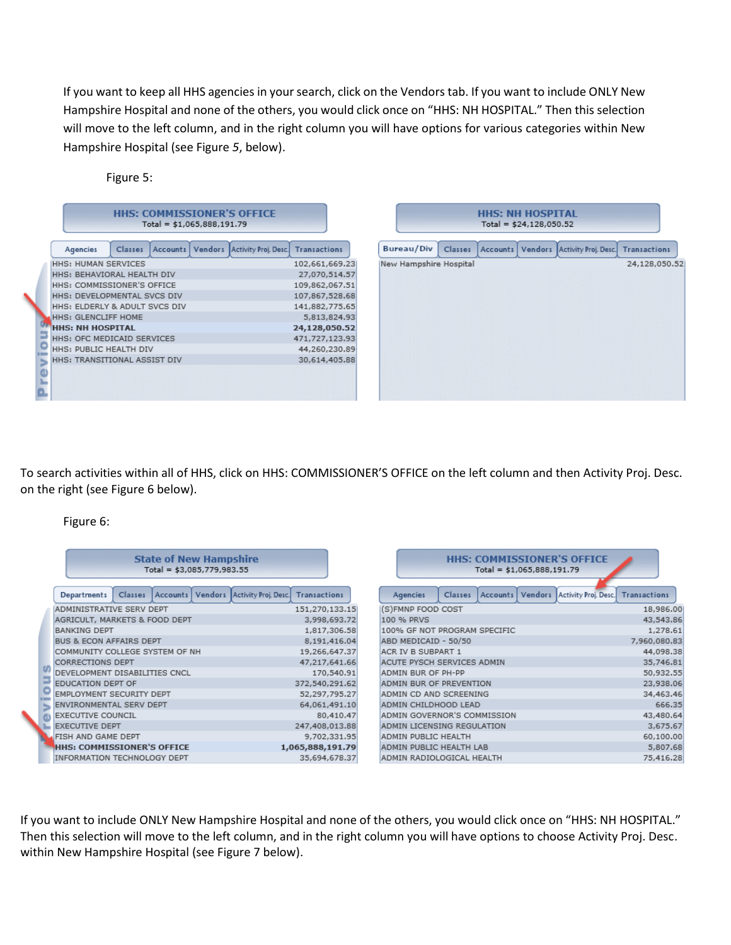If you want to keep all HHS agencies in your search, click on the Vendors tab. If you want to include ONLY New Hampshire Hospital and none of the others, you would click once on "HHS: NH HOSPITAL." Then this selection will move to the left column, and in the right column you will have options for various categories within New Hampshire Hospital (see Figure *5*, below).

|    |                               |         | Total = $$1,065,888,191.79$ | <b>HHS: COMMISSIONER'S OFFICE</b>                        |                |
|----|-------------------------------|---------|-----------------------------|----------------------------------------------------------|----------------|
|    | Agencies                      | Classes |                             | Accounts   Vendors   Activity Proj. Desc.   Transactions |                |
|    | HHS: HUMAN SERVICES           |         |                             |                                                          | 102,661,669.23 |
|    | HHS: BEHAVIORAL HEALTH DIV    |         |                             |                                                          | 27,070,514.57  |
|    | HHS: COMMISSIONER'S OFFICE    |         |                             |                                                          | 109,862,067.51 |
|    | HHS: DEVELOPMENTAL SVCS DIV   |         |                             |                                                          | 107,867,528.68 |
|    | HHS: ELDERLY & ADULT SVCS DIV |         |                             |                                                          | 141,882,775.65 |
|    | <b>HHS: GLENCLIFF HOME</b>    |         |                             |                                                          | 5,813,824.93   |
|    | <b>HHS: NH HOSPITAL</b>       |         |                             |                                                          | 24,128,050.52  |
|    | HHS: OFC MEDICAID SERVICES    |         |                             |                                                          | 471,727,123.93 |
|    | HHS: PUBLIC HEALTH DIV        |         |                             |                                                          | 44,260,230.89  |
| ×, | HHS: TRANSITIONAL ASSIST DIV  |         |                             |                                                          | 30,614,405.88  |
|    |                               |         |                             |                                                          |                |
|    |                               |         |                             |                                                          |                |
|    |                               |         |                             |                                                          |                |

Figure 5:

| <b>HHS: NH HOSPITAL</b><br>Total = $$24,128,050.52$ |         |  |  |                                                          |               |  |  |  |  |  |
|-----------------------------------------------------|---------|--|--|----------------------------------------------------------|---------------|--|--|--|--|--|
| <b>Bureau/Div</b>                                   | Classes |  |  | Accounts   Vendors   Activity Proj. Desc.   Transactions |               |  |  |  |  |  |
| New Hampshire Hospital                              |         |  |  |                                                          | 24,128,050.52 |  |  |  |  |  |
|                                                     |         |  |  |                                                          |               |  |  |  |  |  |
|                                                     |         |  |  |                                                          |               |  |  |  |  |  |
|                                                     |         |  |  |                                                          |               |  |  |  |  |  |
|                                                     |         |  |  |                                                          |               |  |  |  |  |  |
|                                                     |         |  |  |                                                          |               |  |  |  |  |  |
|                                                     |         |  |  |                                                          |               |  |  |  |  |  |
|                                                     |         |  |  |                                                          |               |  |  |  |  |  |
|                                                     |         |  |  |                                                          |               |  |  |  |  |  |

To search activities within all of HHS, click on HHS: COMMISSIONER'S OFFICE on the left column and then Activity Proj. Desc. on the right (see Figure 6 below).

Figure 6:

| <b>State of New Hampshire</b><br>Total = $$3,085,779,983.55$ |                                    |         |  |  |                                                          |                                     |                              |                             |         | Total = $$1,065,888,191.79$ |  | <b>HHS: COMMISSIONER'S OFFICE</b>                        |           |
|--------------------------------------------------------------|------------------------------------|---------|--|--|----------------------------------------------------------|-------------------------------------|------------------------------|-----------------------------|---------|-----------------------------|--|----------------------------------------------------------|-----------|
|                                                              | Departments                        | Classes |  |  | Accounts   Vendors   Activity Proj. Desc.   Transactions |                                     |                              | Agencies                    | Classes |                             |  | Accounts   Vendors   Activity Proj. Desc.   Transactions |           |
|                                                              | ADMINISTRATIVE SERV DEPT           |         |  |  |                                                          | 151,270,133.15                      |                              | (S)FMNP FOOD COST           |         |                             |  |                                                          | 18,986.00 |
|                                                              | AGRICULT, MARKETS & FOOD DEPT      |         |  |  |                                                          | 3,998,693.72                        |                              | 100 % PRVS                  |         |                             |  |                                                          | 43,543.86 |
|                                                              | <b>BANKING DEPT</b>                |         |  |  | 1,817,306.58                                             |                                     | 100% GF NOT PROGRAM SPECIFIC |                             |         |                             |  | 1,278.61                                                 |           |
|                                                              | <b>BUS &amp; ECON AFFAIRS DEPT</b> |         |  |  | 8,191,416.04                                             |                                     | ABD MEDICAID - 50/50         |                             |         |                             |  | 7,960,080.83                                             |           |
|                                                              | COMMUNITY COLLEGE SYSTEM OF NH     |         |  |  | 19,266,647.37                                            |                                     | ACR IV B SUBPART 1           |                             |         |                             |  | 44,098.38                                                |           |
|                                                              | <b>CORRECTIONS DEPT</b>            |         |  |  | 47,217,641,66                                            |                                     | ACUTE PYSCH SERVICES ADMIN   |                             |         |                             |  | 35,746.81                                                |           |
|                                                              | DEVELOPMENT DISABILITIES CNCL      |         |  |  |                                                          | 170,540.91                          |                              | ADMIN BUR OF PH-PP          |         |                             |  |                                                          | 50,932.55 |
|                                                              | EDUCATION DEPT OF                  |         |  |  |                                                          | 372,540,291.62                      |                              | ADMIN BUR OF PREVENTION     |         |                             |  |                                                          | 23,938.06 |
|                                                              | EMPLOYMENT SECURITY DEPT           |         |  |  |                                                          | 52,297,795.27                       |                              | ADMIN CD AND SCREENING      |         |                             |  |                                                          | 34,463.46 |
|                                                              | ENVIRONMENTAL SERV DEPT            |         |  |  |                                                          | 64,061,491.10                       |                              | ADMIN CHILDHOOD LEAD        |         |                             |  |                                                          | 666.35    |
|                                                              | <b>EXECUTIVE COUNCIL</b>           |         |  |  |                                                          | 80,410.47                           |                              | ADMIN GOVERNOR'S COMMISSION |         |                             |  |                                                          | 43,480.64 |
|                                                              | <b>EXECUTIVE DEPT</b>              |         |  |  |                                                          | 247,408,013.88                      |                              | ADMIN LICENSING REGULATION  |         |                             |  |                                                          | 3,675.67  |
|                                                              | FISH AND GAME DEPT                 |         |  |  |                                                          | ADMIN PUBLIC HEALTH<br>9,702,331.95 |                              |                             |         | 60,100.00                   |  |                                                          |           |
|                                                              | <b>HHS: COMMISSIONER'S OFFICE</b>  |         |  |  |                                                          | 1,065,888,191.79                    |                              | ADMIN PUBLIC HEALTH LAB     |         |                             |  |                                                          | 5,807.68  |
|                                                              | INFORMATION TECHNOLOGY DEPT        |         |  |  |                                                          | 35,694,678.37                       |                              | ADMIN RADIOLOGICAL HEALTH   |         |                             |  |                                                          | 75,416.28 |
|                                                              |                                    |         |  |  |                                                          |                                     |                              |                             |         |                             |  |                                                          |           |

If you want to include ONLY New Hampshire Hospital and none of the others, you would click once on "HHS: NH HOSPITAL." Then this selection will move to the left column, and in the right column you will have options to choose Activity Proj. Desc. within New Hampshire Hospital (see Figure 7 below).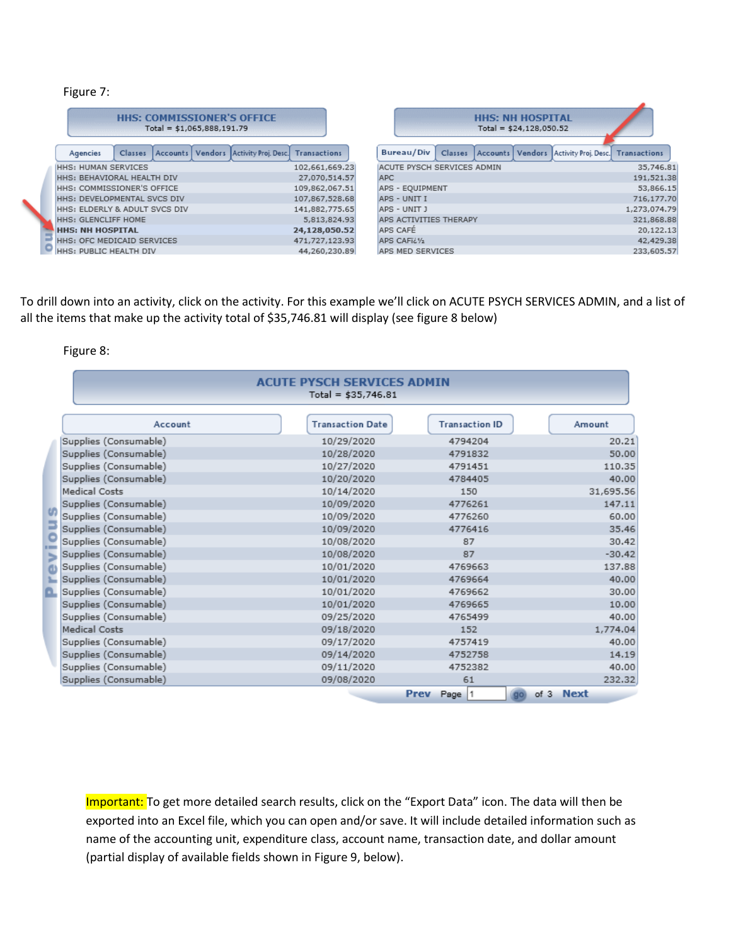### Figure 7:

| <b>HHS: COMMISSIONER'S OFFICE</b><br>Total = $$1,065,888,191.79$ |                               |  |  |  |                                                                    |                |  |  |  |  |
|------------------------------------------------------------------|-------------------------------|--|--|--|--------------------------------------------------------------------|----------------|--|--|--|--|
|                                                                  | Agencies                      |  |  |  | Classes   Accounts   Vendors   Activity Proj. Desc.   Transactions |                |  |  |  |  |
|                                                                  | <b>HHS: HUMAN SERVICES</b>    |  |  |  |                                                                    | 102,661,669.23 |  |  |  |  |
|                                                                  | HHS: BEHAVIORAL HEALTH DIV    |  |  |  | 27,070,514.57                                                      |                |  |  |  |  |
|                                                                  | HHS: COMMISSIONER'S OFFICE    |  |  |  | 109,862,067.51                                                     |                |  |  |  |  |
|                                                                  | HHS: DEVELOPMENTAL SVCS DIV   |  |  |  |                                                                    | 107,867,528.68 |  |  |  |  |
|                                                                  | HHS: ELDERLY & ADULT SVCS DIV |  |  |  |                                                                    | 141,882,775.65 |  |  |  |  |
|                                                                  | <b>HHS: GLENCLIFF HOME</b>    |  |  |  |                                                                    | 5,813,824,93   |  |  |  |  |
|                                                                  | <b>HHS: NH HOSPITAL</b>       |  |  |  |                                                                    | 24,128,050.52  |  |  |  |  |
|                                                                  | HHS: OFC MEDICAID SERVICES    |  |  |  |                                                                    | 471,727,123.93 |  |  |  |  |
|                                                                  | HHS: PUBLIC HEALTH DIV        |  |  |  |                                                                    | 44,260,230.89  |  |  |  |  |

| <b>HHS: NH HOSPITAL</b><br>Total = $$24,128,050.52$ |                                   |  |  |  |
|-----------------------------------------------------|-----------------------------------|--|--|--|
| Bureau/Div<br>Accounts   Vendors<br>Classes         | Activity Proj. Desc. Transactions |  |  |  |
| ACUTE PYSCH SERVICES ADMIN                          | 35,746.81                         |  |  |  |
| <b>APC</b>                                          | 191,521.38                        |  |  |  |
| APS - EOUIPMENT                                     | 53,866.15                         |  |  |  |
| APS - UNIT I                                        | 716,177.70                        |  |  |  |
| APS - UNIT J                                        | 1,273,074.79                      |  |  |  |
| APS ACTIVITIES THERAPY                              | 321,868.88                        |  |  |  |
| APS CAFÉ                                            | 20,122.13                         |  |  |  |
| APS CAFii's                                         | 42,429.38                         |  |  |  |
| APS MED SERVICES                                    | 233,605,57                        |  |  |  |

To drill down into an activity, click on the activity. For this example we'll click on ACUTE PSYCH SERVICES ADMIN, and a list of all the items that make up the activity total of \$35,746.81 will display (see figure 8 below)

Figure 8:

|                       | <b>ACUTE PYSCH SERVICES ADMIN</b><br>Total = $$35,746.81$ |                       |           |
|-----------------------|-----------------------------------------------------------|-----------------------|-----------|
| Account               | <b>Transaction Date</b>                                   | <b>Transaction ID</b> | Amount    |
| Supplies (Consumable) | 10/29/2020                                                | 4794204               | 20.21     |
| Supplies (Consumable) | 10/28/2020                                                | 4791832               | 50.00     |
| Supplies (Consumable) | 10/27/2020                                                | 4791451               | 110.35    |
| Supplies (Consumable) | 10/20/2020                                                | 4784405               | 40.00     |
| Medical Costs         | 10/14/2020                                                | 150                   | 31,695.56 |
| Supplies (Consumable) | 10/09/2020                                                | 4776261               | 147.11    |
| Supplies (Consumable) | 10/09/2020                                                | 4776260               | 60.00     |
| Supplies (Consumable) | 10/09/2020                                                | 4776416               | 35.46     |
| Supplies (Consumable) | 10/08/2020                                                | 87                    | 30.42     |
| Supplies (Consumable) | 10/08/2020                                                | 87                    | $-30.42$  |
| Supplies (Consumable) | 10/01/2020                                                | 4769663               | 137.88    |
| Supplies (Consumable) | 10/01/2020                                                | 4769664               | 40.00     |
| Supplies (Consumable) | 10/01/2020                                                | 4769662               | 30.00     |
| Supplies (Consumable) | 10/01/2020                                                | 4769665               | 10.00     |
| Supplies (Consumable) | 09/25/2020                                                | 4765499               | 40.00     |
| Medical Costs         | 09/18/2020                                                | 152                   | 1,774.04  |
| Supplies (Consumable) | 09/17/2020                                                | 4757419               | 40.00     |
| Supplies (Consumable) | 09/14/2020                                                | 4752758               | 14.19     |
| Supplies (Consumable) | 09/11/2020                                                | 4752382               | 40.00     |
| Supplies (Consumable) | 09/08/2020                                                | 61                    | 232.32    |
|                       |                                                           | Prev<br>Page  1       | of 3 Next |

Important: To get more detailed search results, click on the "Export Data" icon. The data will then be exported into an Excel file, which you can open and/or save. It will include detailed information such as name of the accounting unit, expenditure class, account name, transaction date, and dollar amount (partial display of available fields shown in Figure 9, below).